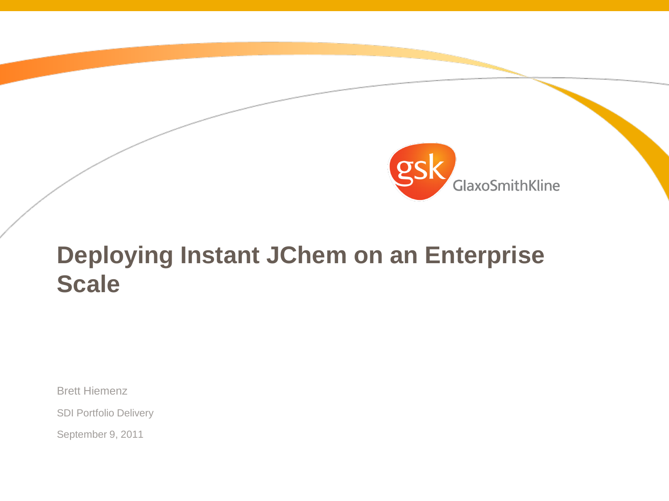

# **Deploying Instant JChem on an Enterprise Scale**

Brett Hiemenz

SDI Portfolio Delivery

September 9, 2011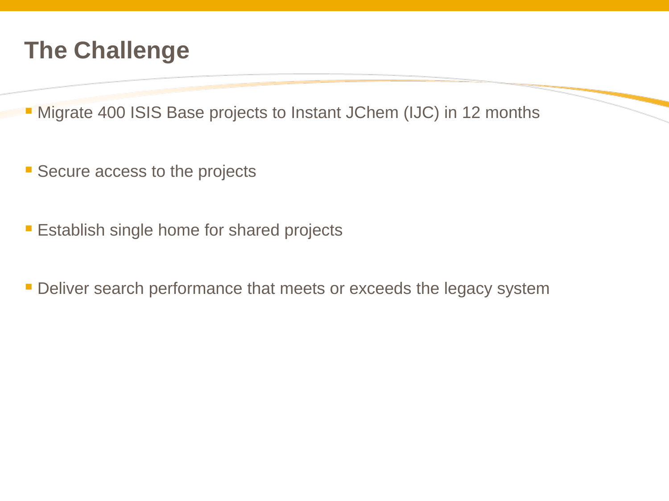## **The Challenge**

**Migrate 400 ISIS Base projects to Instant JChem (IJC) in 12 months** 

- **Secure access to the projects**
- **Establish single home for shared projects**
- **Deliver search performance that meets or exceeds the legacy system**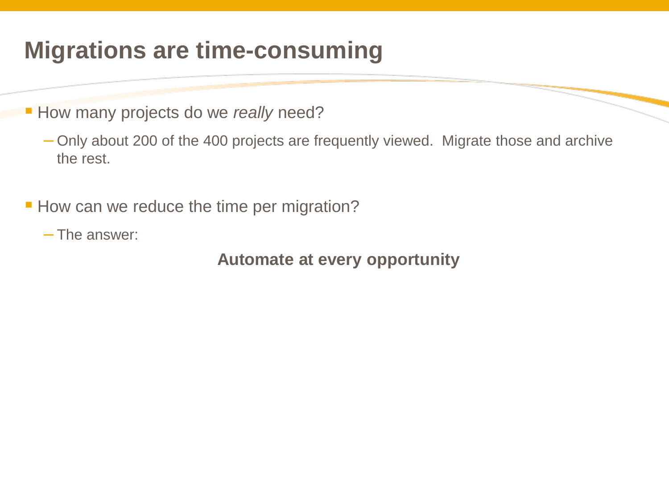## **Migrations are time-consuming**

How many projects do we *really* need?

– Only about 200 of the 400 projects are frequently viewed. Migrate those and archive the rest.

How can we reduce the time per migration?

– The answer:

**Automate at every opportunity**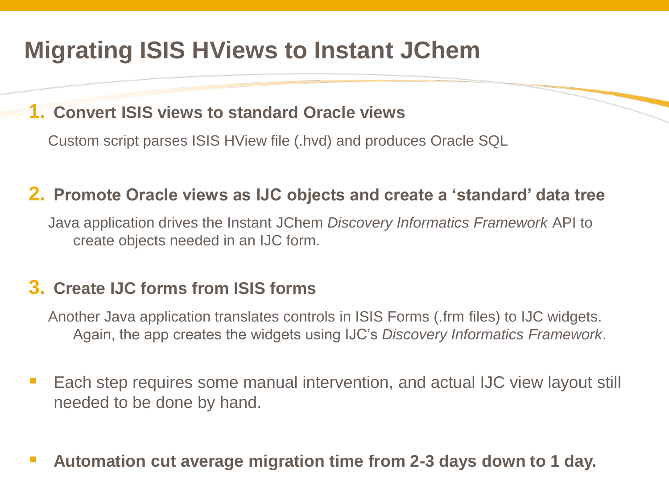# **Migrating ISIS HViews to Instant JChem**

#### **1. Convert ISIS views to standard Oracle views**

Custom script parses ISIS HView file (.hvd) and produces Oracle SQL

### **2. Promote Oracle views as IJC objects and create a 'standard' data tree**

Java application drives the Instant JChem *Discovery Informatics Framework* API to create objects needed in an IJC form.

### **3. Create IJC forms from ISIS forms**

Another Java application translates controls in ISIS Forms (.frm files) to IJC widgets. Again, the app creates the widgets using IJC's *Discovery Informatics Framework*.

- Each step requires some manual intervention, and actual IJC view layout still needed to be done by hand.
- **Automation cut average migration time from 2-3 days down to 1 day.**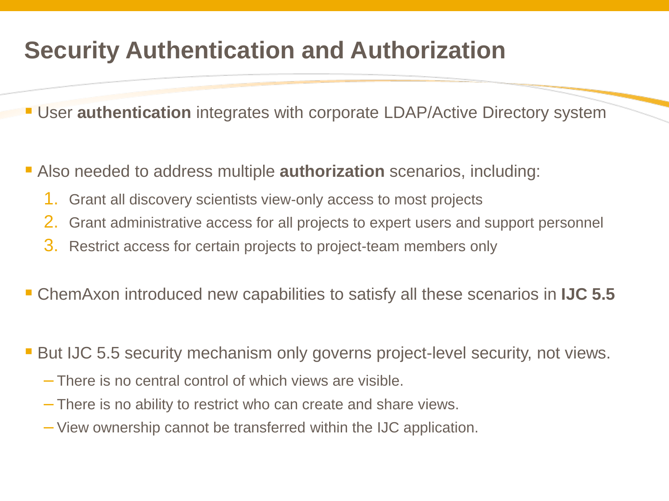# **Security Authentication and Authorization**

User **authentication** integrates with corporate LDAP/Active Directory system

Also needed to address multiple **authorization** scenarios, including:

- 1. Grant all discovery scientists view-only access to most projects
- 2. Grant administrative access for all projects to expert users and support personnel
- 3. Restrict access for certain projects to project-team members only

ChemAxon introduced new capabilities to satisfy all these scenarios in **IJC 5.5**

**But IJC 5.5 security mechanism only governs project-level security, not views.** 

- There is no central control of which views are visible.
- There is no ability to restrict who can create and share views.
- View ownership cannot be transferred within the IJC application.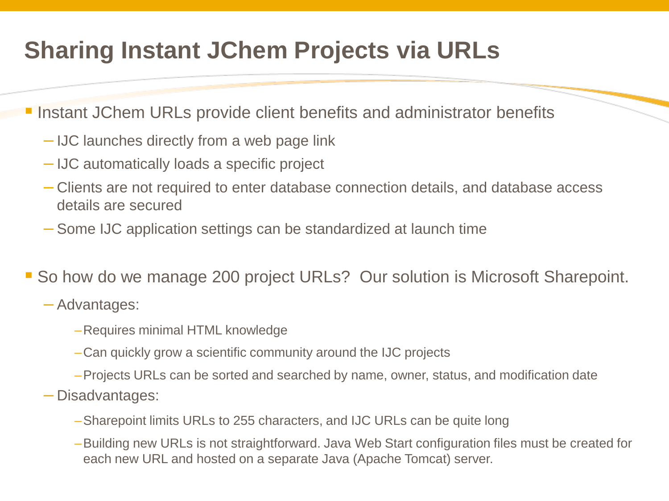# **Sharing Instant JChem Projects via URLs**

**- Instant JChem URLs provide client benefits and administrator benefits** 

- IJC launches directly from a web page link
- IJC automatically loads a specific project
- Clients are not required to enter database connection details, and database access details are secured
- Some IJC application settings can be standardized at launch time
- So how do we manage 200 project URLs? Our solution is Microsoft Sharepoint.

#### – Advantages:

- –Requires minimal HTML knowledge
- –Can quickly grow a scientific community around the IJC projects
- –Projects URLs can be sorted and searched by name, owner, status, and modification date
- Disadvantages:
	- –Sharepoint limits URLs to 255 characters, and IJC URLs can be quite long
	- –Building new URLs is not straightforward. Java Web Start configuration files must be created for each new URL and hosted on a separate Java (Apache Tomcat) server.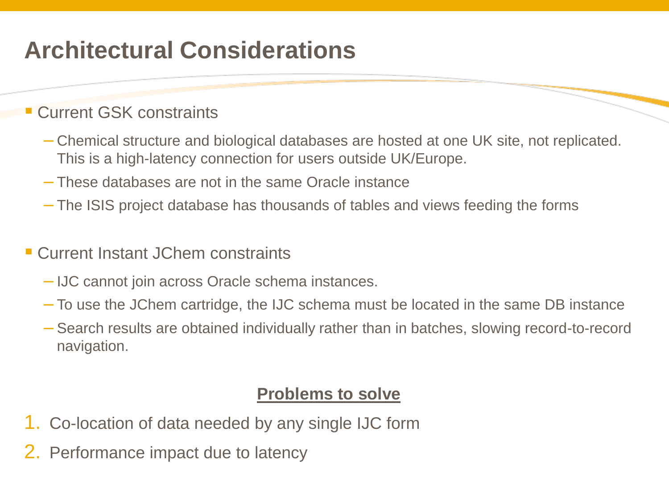## **Architectural Considerations**

### **Current GSK constraints**

- Chemical structure and biological databases are hosted at one UK site, not replicated. This is a high-latency connection for users outside UK/Europe.
- These databases are not in the same Oracle instance
- The ISIS project database has thousands of tables and views feeding the forms
- Current Instant JChem constraints
	- IJC cannot join across Oracle schema instances.
	- To use the JChem cartridge, the IJC schema must be located in the same DB instance
	- Search results are obtained individually rather than in batches, slowing record-to-record navigation.

#### **Problems to solve**

- 1. Co-location of data needed by any single IJC form
- 2. Performance impact due to latency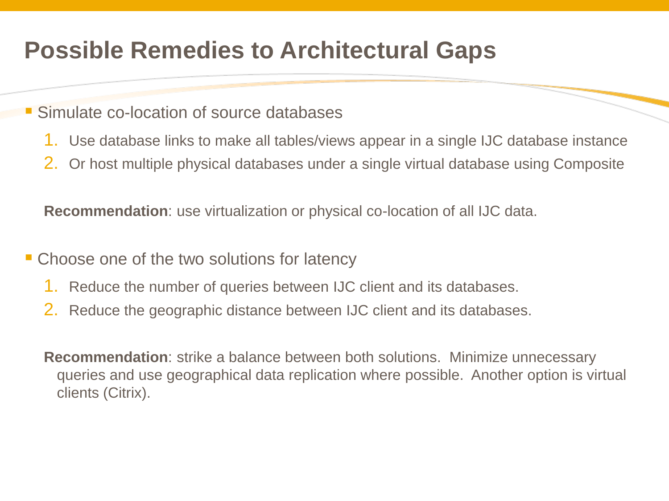## **Possible Remedies to Architectural Gaps**

#### Simulate co-location of source databases

- 1. Use database links to make all tables/views appear in a single IJC database instance
- 2. Or host multiple physical databases under a single virtual database using Composite

**Recommendation**: use virtualization or physical co-location of all IJC data.

- Choose one of the two solutions for latency
	- 1. Reduce the number of queries between IJC client and its databases.
	- 2. Reduce the geographic distance between IJC client and its databases.

**Recommendation**: strike a balance between both solutions. Minimize unnecessary queries and use geographical data replication where possible. Another option is virtual clients (Citrix).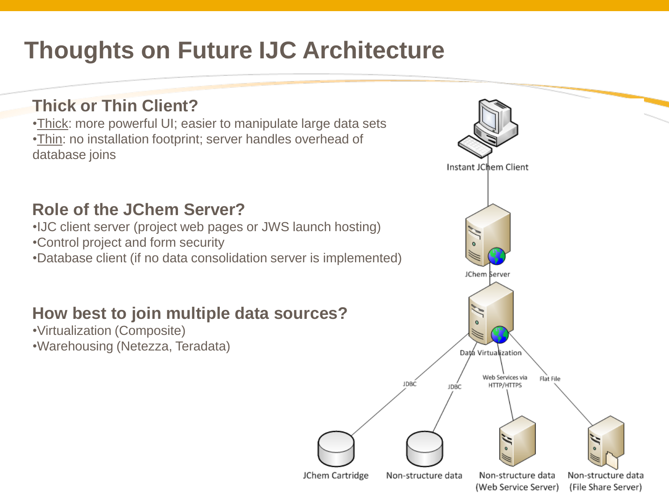# **Thoughts on Future IJC Architecture**

### **Thick or Thin Client?**

•Thick: more powerful UI; easier to manipulate large data sets •Thin: no installation footprint; server handles overhead of database joins

#### **Role of the JChem Server?**

•IJC client server (project web pages or JWS launch hosting)

•Control project and form security

•Database client (if no data consolidation server is implemented)

### **How best to join multiple data sources?**

•Virtualization (Composite)

•Warehousing (Netezza, Teradata)